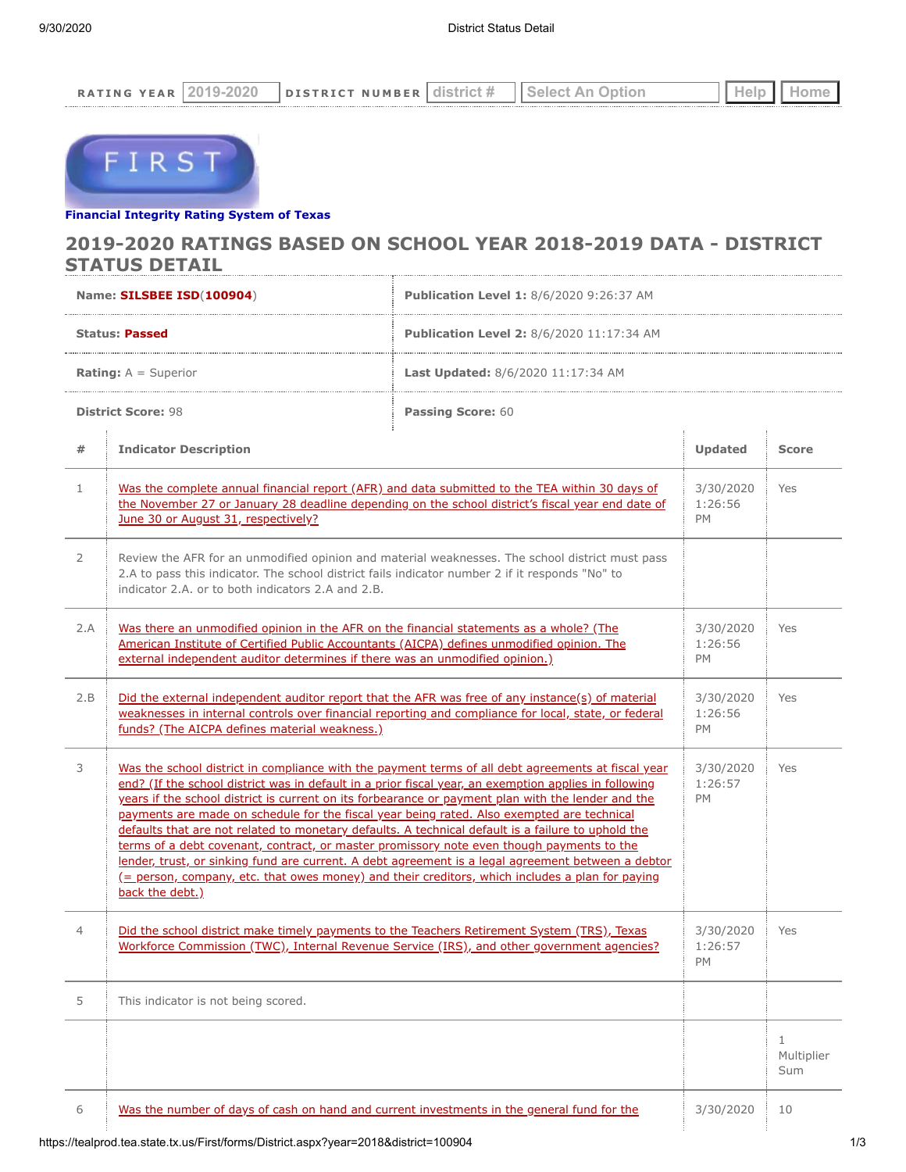| <b>DATT</b><br>$\mathbb{N}$ $\subset$<br>. . | ы | E D<br>ית די<br>т в<br>- NIIM * |  |  |
|----------------------------------------------|---|---------------------------------|--|--|
|                                              |   |                                 |  |  |



## **[Financial Integrity Rating Syste](https://tealprod.tea.state.tx.us/First/forms/Main.aspx)m of Texas**

## **2019-2020 RATINGS BASED ON SCHOOL YEAR 2018-2019 DATA - DISTRICT STATUS DETAIL**

| Name: SILSBEE ISD(100904)     |                                                                                                                                                                                                                                                                                                                                                                                                                                                                                                                                                                                                                                           | Publication Level 1: 8/6/2020 9:26:37 AM                                                                                                                                                                 |                                   |                                   |  |
|-------------------------------|-------------------------------------------------------------------------------------------------------------------------------------------------------------------------------------------------------------------------------------------------------------------------------------------------------------------------------------------------------------------------------------------------------------------------------------------------------------------------------------------------------------------------------------------------------------------------------------------------------------------------------------------|----------------------------------------------------------------------------------------------------------------------------------------------------------------------------------------------------------|-----------------------------------|-----------------------------------|--|
| <b>Status: Passed</b>         |                                                                                                                                                                                                                                                                                                                                                                                                                                                                                                                                                                                                                                           | <b>Publication Level 2:</b> 8/6/2020 11:17:34 AM                                                                                                                                                         |                                   |                                   |  |
| <b>Rating:</b> $A =$ Superior |                                                                                                                                                                                                                                                                                                                                                                                                                                                                                                                                                                                                                                           | <b>Last Updated: 8/6/2020 11:17:34 AM</b>                                                                                                                                                                |                                   |                                   |  |
|                               | <b>District Score: 98</b>                                                                                                                                                                                                                                                                                                                                                                                                                                                                                                                                                                                                                 | Passing Score: 60                                                                                                                                                                                        |                                   |                                   |  |
| #                             | <b>Indicator Description</b>                                                                                                                                                                                                                                                                                                                                                                                                                                                                                                                                                                                                              |                                                                                                                                                                                                          | <b>Updated</b>                    | <b>Score</b>                      |  |
| $\mathbf{1}$                  | Was the complete annual financial report (AFR) and data submitted to the TEA within 30 days of<br>the November 27 or January 28 deadline depending on the school district's fiscal year end date of<br>June 30 or August 31, respectively?                                                                                                                                                                                                                                                                                                                                                                                                |                                                                                                                                                                                                          | 3/30/2020<br>1:26:56<br>PM        | Yes                               |  |
| 2                             | Review the AFR for an unmodified opinion and material weaknesses. The school district must pass<br>2.A to pass this indicator. The school district fails indicator number 2 if it responds "No" to<br>indicator 2.A. or to both indicators 2.A and 2.B.                                                                                                                                                                                                                                                                                                                                                                                   |                                                                                                                                                                                                          |                                   |                                   |  |
| 2.A                           | Was there an unmodified opinion in the AFR on the financial statements as a whole? (The<br>American Institute of Certified Public Accountants (AICPA) defines unmodified opinion. The<br>external independent auditor determines if there was an unmodified opinion.)                                                                                                                                                                                                                                                                                                                                                                     |                                                                                                                                                                                                          | 3/30/2020<br>1:26:56<br><b>PM</b> | Yes                               |  |
| 2.B                           | Did the external independent auditor report that the AFR was free of any instance(s) of material<br>weaknesses in internal controls over financial reporting and compliance for local, state, or federal<br>funds? (The AICPA defines material weakness.)                                                                                                                                                                                                                                                                                                                                                                                 |                                                                                                                                                                                                          | 3/30/2020<br>1:26:56<br>PM        | Yes                               |  |
| 3                             | end? (If the school district was in default in a prior fiscal year, an exemption applies in following<br>years if the school district is current on its forbearance or payment plan with the lender and the<br>payments are made on schedule for the fiscal year being rated. Also exempted are technical<br>defaults that are not related to monetary defaults. A technical default is a failure to uphold the<br>terms of a debt covenant, contract, or master promissory note even though payments to the<br><u>(= person, company, etc. that owes money) and their creditors, which includes a plan for paying</u><br>back the debt.) | Was the school district in compliance with the payment terms of all debt agreements at fiscal year<br>lender, trust, or sinking fund are current. A debt agreement is a legal agreement between a debtor | 3/30/2020<br>1:26:57<br>PM        | Yes                               |  |
| 4                             | Did the school district make timely payments to the Teachers Retirement System (TRS), Texas<br>Workforce Commission (TWC), Internal Revenue Service (IRS), and other government agencies?                                                                                                                                                                                                                                                                                                                                                                                                                                                 |                                                                                                                                                                                                          | 3/30/2020<br>1:26:57<br>PM        | Yes                               |  |
| 5                             | This indicator is not being scored.                                                                                                                                                                                                                                                                                                                                                                                                                                                                                                                                                                                                       |                                                                                                                                                                                                          |                                   |                                   |  |
|                               |                                                                                                                                                                                                                                                                                                                                                                                                                                                                                                                                                                                                                                           |                                                                                                                                                                                                          |                                   | $\mathbf{1}$<br>Multiplier<br>Sum |  |
| 6                             | Was the number of days of cash on hand and current investments in the general fund for the                                                                                                                                                                                                                                                                                                                                                                                                                                                                                                                                                |                                                                                                                                                                                                          | 3/30/2020                         | 10                                |  |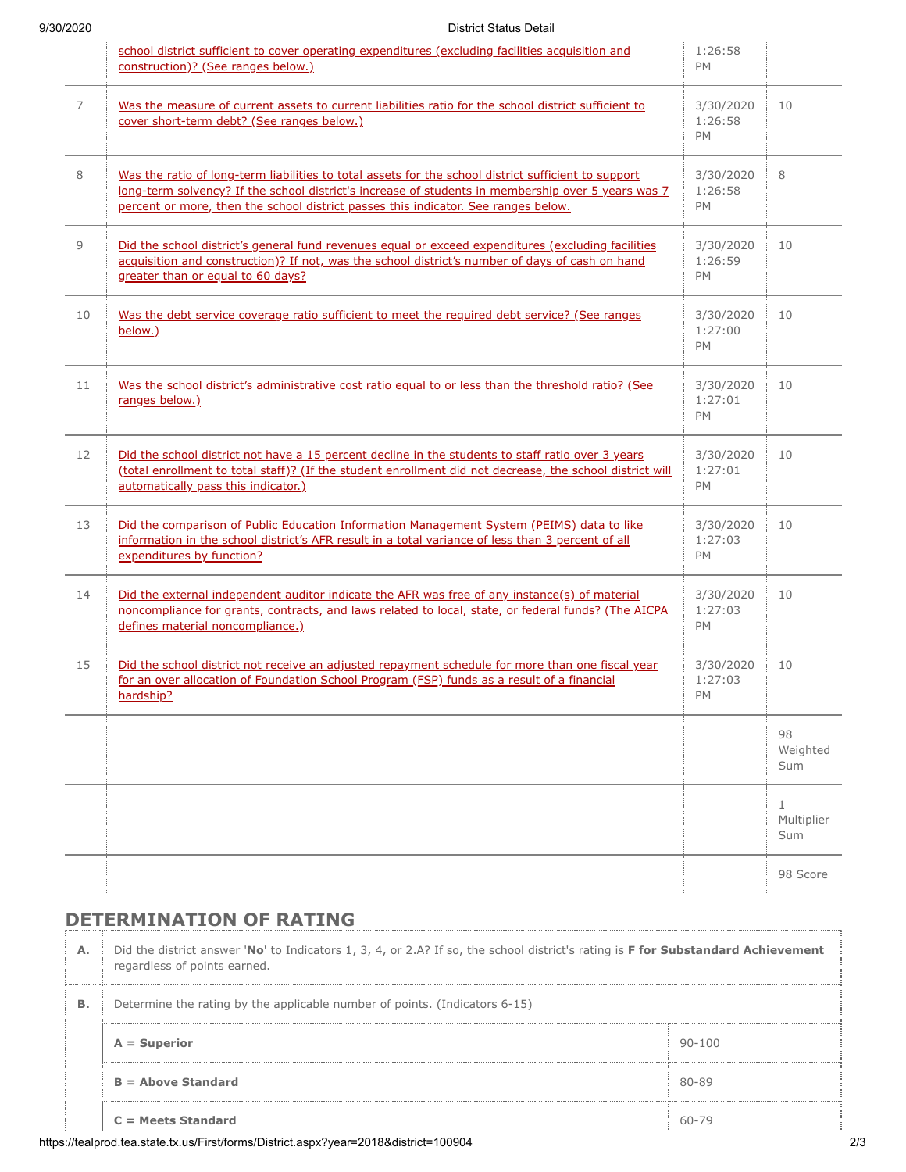## 9/30/2020 District Status Detail

|    | school district sufficient to cover operating expenditures (excluding facilities acquisition and<br>construction)? (See ranges below.)                                                                                                                                                           | 1:26:58<br>PM                     |                                   |
|----|--------------------------------------------------------------------------------------------------------------------------------------------------------------------------------------------------------------------------------------------------------------------------------------------------|-----------------------------------|-----------------------------------|
| 7  | Was the measure of current assets to current liabilities ratio for the school district sufficient to<br>cover short-term debt? (See ranges below.)                                                                                                                                               | 3/30/2020<br>1:26:58<br><b>PM</b> | 10                                |
| 8  | Was the ratio of long-term liabilities to total assets for the school district sufficient to support<br>long-term solvency? If the school district's increase of students in membership over 5 years was 7<br>percent or more, then the school district passes this indicator. See ranges below. | 3/30/2020<br>1:26:58<br>PM        | 8                                 |
| 9  | Did the school district's general fund revenues equal or exceed expenditures (excluding facilities<br>acquisition and construction)? If not, was the school district's number of days of cash on hand<br>greater than or equal to 60 days?                                                       | 3/30/2020<br>1:26:59<br>PM        | 10                                |
| 10 | Was the debt service coverage ratio sufficient to meet the required debt service? (See ranges<br>below.)                                                                                                                                                                                         | 3/30/2020<br>1:27:00<br>PM        | 10                                |
| 11 | Was the school district's administrative cost ratio equal to or less than the threshold ratio? (See<br>ranges below.)                                                                                                                                                                            | 3/30/2020<br>1:27:01<br><b>PM</b> | 10                                |
| 12 | Did the school district not have a 15 percent decline in the students to staff ratio over 3 years<br>(total enrollment to total staff)? (If the student enrollment did not decrease, the school district will<br>automatically pass this indicator.)                                             | 3/30/2020<br>1:27:01<br>PM        | 10                                |
| 13 | Did the comparison of Public Education Information Management System (PEIMS) data to like<br>information in the school district's AFR result in a total variance of less than 3 percent of all<br>expenditures by function?                                                                      | 3/30/2020<br>1:27:03<br><b>PM</b> | 10                                |
| 14 | Did the external independent auditor indicate the AFR was free of any instance(s) of material<br>noncompliance for grants, contracts, and laws related to local, state, or federal funds? (The AICPA<br>defines material noncompliance.)                                                         | 3/30/2020<br>1:27:03<br>PM        | 10                                |
| 15 | Did the school district not receive an adjusted repayment schedule for more than one fiscal year<br>for an over allocation of Foundation School Program (FSP) funds as a result of a financial<br>hardship?                                                                                      | 3/30/2020<br>1:27:03<br>PM        | 10                                |
|    |                                                                                                                                                                                                                                                                                                  |                                   | 98<br>Weighted<br>Sum             |
|    |                                                                                                                                                                                                                                                                                                  |                                   | $\mathbf{1}$<br>Multiplier<br>Sum |
|    |                                                                                                                                                                                                                                                                                                  |                                   | 98 Score                          |

## **DETERMINATION OF RATING**

| А. | Did the district answer 'No' to Indicators 1, 3, 4, or 2.A? If so, the school district's rating is F for Substandard Achievement<br>regardless of points earned. |            |  |  |
|----|------------------------------------------------------------------------------------------------------------------------------------------------------------------|------------|--|--|
| В. | Determine the rating by the applicable number of points. (Indicators 6-15)                                                                                       |            |  |  |
|    | $A = Superior$                                                                                                                                                   | $90 - 100$ |  |  |
|    | $B =$ Above Standard                                                                                                                                             | 80-89      |  |  |
|    | $C = Meets$ Standard                                                                                                                                             | 60-79      |  |  |

https://tealprod.tea.state.tx.us/First/forms/District.aspx?year=2018&district=100904 2/3

÷÷,